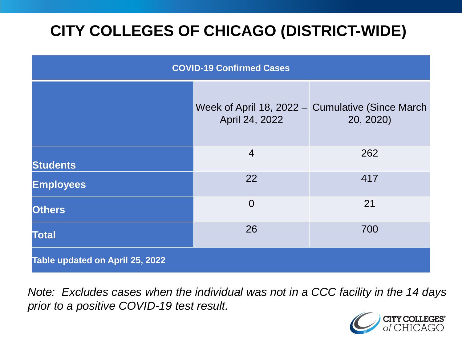# **CITY COLLEGES OF CHICAGO (DISTRICT-WIDE)**

| <b>COVID-19 Confirmed Cases</b> |                |                                                               |
|---------------------------------|----------------|---------------------------------------------------------------|
|                                 | April 24, 2022 | Week of April 18, 2022 - Cumulative (Since March<br>20, 2020) |
| <b>Students</b>                 | $\overline{4}$ | 262                                                           |
| <b>Employees</b>                | 22             | 417                                                           |
| <b>Others</b>                   | $\overline{0}$ | 21                                                            |
| <b>Total</b>                    | 26             | 700                                                           |
| Table updated on April 25, 2022 |                |                                                               |

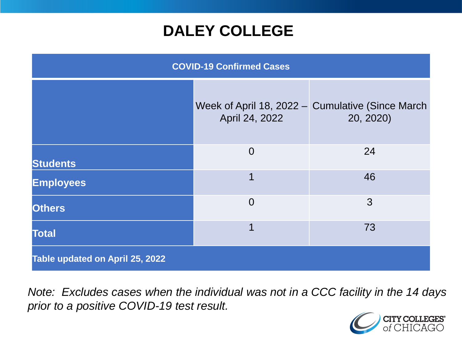### **DALEY COLLEGE**

| <b>COVID-19 Confirmed Cases</b> |                |                                                               |
|---------------------------------|----------------|---------------------------------------------------------------|
|                                 | April 24, 2022 | Week of April 18, 2022 – Cumulative (Since March<br>20, 2020) |
| <b>Students</b>                 | $\overline{0}$ | 24                                                            |
| <b>Employees</b>                | 1              | 46                                                            |
| <b>Others</b>                   | $\overline{0}$ | 3                                                             |
| <b>Total</b>                    | 1              | 73                                                            |
| Table updated on April 25, 2022 |                |                                                               |

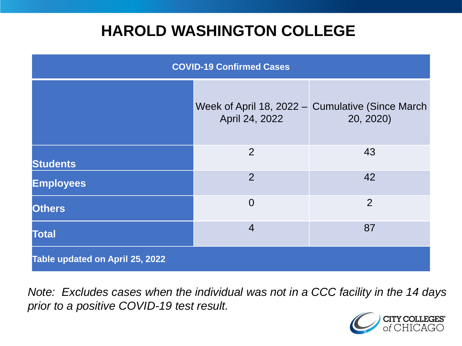### **HAROLD WASHINGTON COLLEGE**

| <b>COVID-19 Confirmed Cases</b> |                |                                                               |
|---------------------------------|----------------|---------------------------------------------------------------|
|                                 | April 24, 2022 | Week of April 18, 2022 - Cumulative (Since March<br>20, 2020) |
| <b>Students</b>                 | 2              | 43                                                            |
| <b>Employees</b>                | $\overline{2}$ | 42                                                            |
| <b>Others</b>                   | $\overline{0}$ | $\overline{2}$                                                |
| <b>Total</b>                    | $\overline{4}$ | 87                                                            |
| Table updated on April 25, 2022 |                |                                                               |

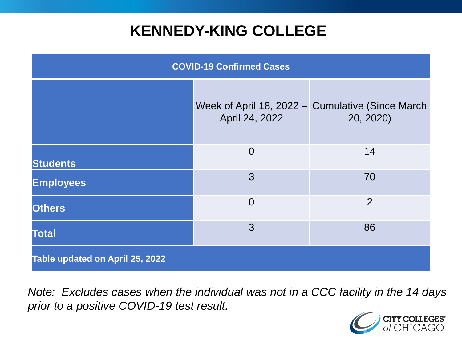### **KENNEDY-KING COLLEGE**

| <b>COVID-19 Confirmed Cases</b> |                |                                                               |
|---------------------------------|----------------|---------------------------------------------------------------|
|                                 | April 24, 2022 | Week of April 18, 2022 – Cumulative (Since March<br>20, 2020) |
| <b>Students</b>                 | $\overline{0}$ | 14                                                            |
| <b>Employees</b>                | 3              | 70                                                            |
| <b>Others</b>                   | $\overline{0}$ | $\overline{2}$                                                |
| <b>Total</b>                    | 3              | 86                                                            |
| Table updated on April 25, 2022 |                |                                                               |

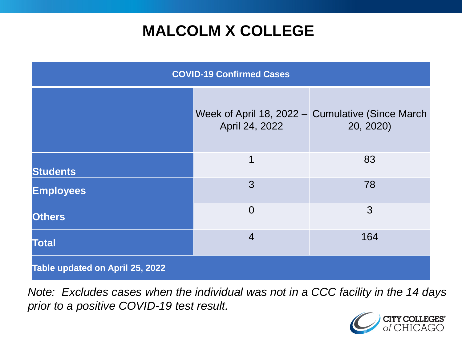### **MALCOLM X COLLEGE**

| <b>COVID-19 Confirmed Cases</b> |                |                                                               |
|---------------------------------|----------------|---------------------------------------------------------------|
|                                 | April 24, 2022 | Week of April 18, 2022 – Cumulative (Since March<br>20, 2020) |
| <b>Students</b>                 | 1              | 83                                                            |
| <b>Employees</b>                | 3              | 78                                                            |
| <b>Others</b>                   | $\overline{0}$ | 3                                                             |
| <b>Total</b>                    | $\overline{4}$ | 164                                                           |
| Table updated on April 25, 2022 |                |                                                               |

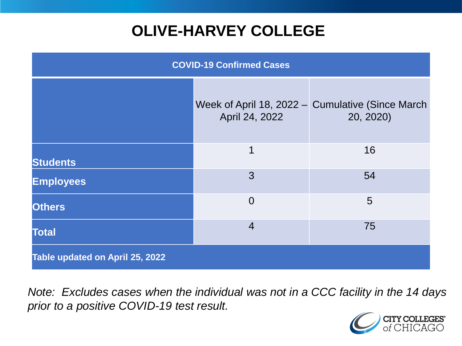# **OLIVE-HARVEY COLLEGE**

| <b>COVID-19 Confirmed Cases</b> |                |                                                               |
|---------------------------------|----------------|---------------------------------------------------------------|
|                                 | April 24, 2022 | Week of April 18, 2022 - Cumulative (Since March<br>20, 2020) |
| <b>Students</b>                 | 1              | 16                                                            |
| <b>Employees</b>                | 3              | 54                                                            |
| <b>Others</b>                   | $\overline{0}$ | 5                                                             |
| <b>Total</b>                    | $\overline{4}$ | 75                                                            |
| Table updated on April 25, 2022 |                |                                                               |

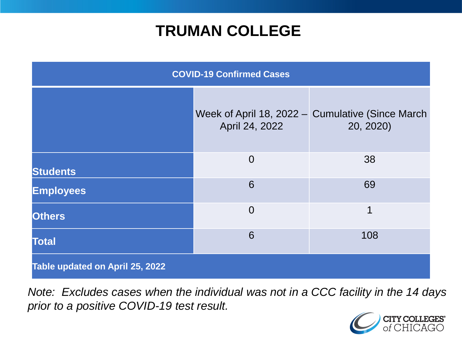### **TRUMAN COLLEGE**

| <b>COVID-19 Confirmed Cases</b> |                |                                                               |
|---------------------------------|----------------|---------------------------------------------------------------|
|                                 | April 24, 2022 | Week of April 18, 2022 – Cumulative (Since March<br>20, 2020) |
| <b>Students</b>                 | $\overline{0}$ | 38                                                            |
| <b>Employees</b>                | 6              | 69                                                            |
| <b>Others</b>                   | $\overline{0}$ | 1                                                             |
| <b>Total</b>                    | 6              | 108                                                           |
| Table updated on April 25, 2022 |                |                                                               |

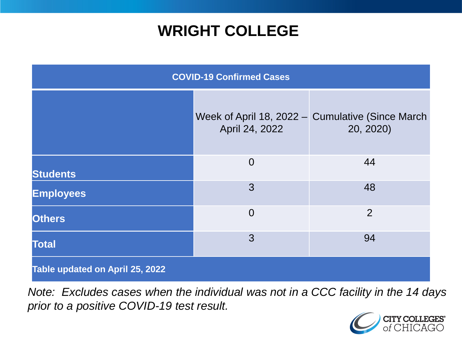### **WRIGHT COLLEGE**

| <b>COVID-19 Confirmed Cases</b> |                |                                                               |
|---------------------------------|----------------|---------------------------------------------------------------|
|                                 | April 24, 2022 | Week of April 18, 2022 - Cumulative (Since March<br>20, 2020) |
| <b>Students</b>                 | $\overline{0}$ | 44                                                            |
| <b>Employees</b>                | 3              | 48                                                            |
| <b>Others</b>                   | $\overline{0}$ | $\overline{2}$                                                |
| <b>Total</b>                    | 3              | 94                                                            |
| Table updated on April 25, 2022 |                |                                                               |

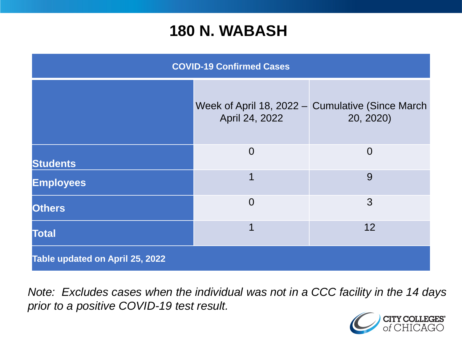#### **180 N. WABASH**

| <b>COVID-19 Confirmed Cases</b> |                |                                                               |
|---------------------------------|----------------|---------------------------------------------------------------|
|                                 | April 24, 2022 | Week of April 18, 2022 - Cumulative (Since March<br>20, 2020) |
| <b>Students</b>                 | $\overline{0}$ | $\overline{0}$                                                |
| <b>Employees</b>                | 1              | 9                                                             |
| <b>Others</b>                   | $\overline{0}$ | 3                                                             |
| <b>Total</b>                    | 1              | 12                                                            |
| Table updated on April 25, 2022 |                |                                                               |